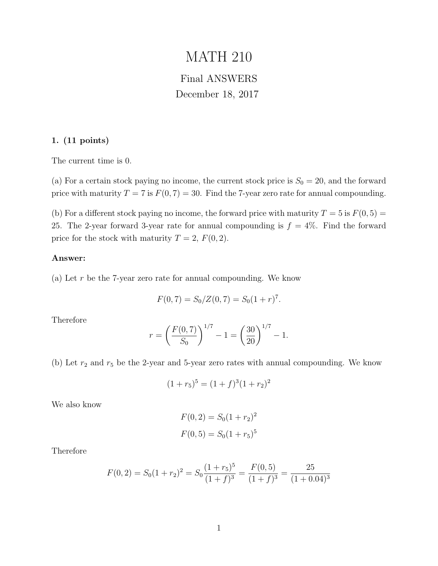# MATH 210

## Final ANSWERS December 18, 2017

#### 1. (11 points)

The current time is 0.

(a) For a certain stock paying no income, the current stock price is  $S_0 = 20$ , and the forward price with maturity  $T = 7$  is  $F(0, 7) = 30$ . Find the 7-year zero rate for annual compounding.

(b) For a different stock paying no income, the forward price with maturity  $T = 5$  is  $F(0, 5) =$ 25. The 2-year forward 3-year rate for annual compounding is  $f = 4\%$ . Find the forward price for the stock with maturity  $T = 2$ ,  $F(0, 2)$ .

#### Answer:

(a) Let r be the 7-year zero rate for annual compounding. We know

$$
F(0,7) = S_0/Z(0,7) = S_0(1+r)^7.
$$

Therefore

$$
r = \left(\frac{F(0,7)}{S_0}\right)^{1/7} - 1 = \left(\frac{30}{20}\right)^{1/7} - 1.
$$

(b) Let  $r_2$  and  $r_5$  be the 2-year and 5-year zero rates with annual compounding. We know

$$
(1 + r_5)^5 = (1 + f)^3 (1 + r_2)^2
$$

We also know

$$
F(0, 2) = S_0(1 + r_2)^2
$$
  

$$
F(0, 5) = S_0(1 + r_5)^5
$$

Therefore

$$
F(0,2) = S_0(1+r_2)^2 = S_0 \frac{(1+r_5)^5}{(1+f)^3} = \frac{F(0,5)}{(1+f)^3} = \frac{25}{(1+0.04)^3}
$$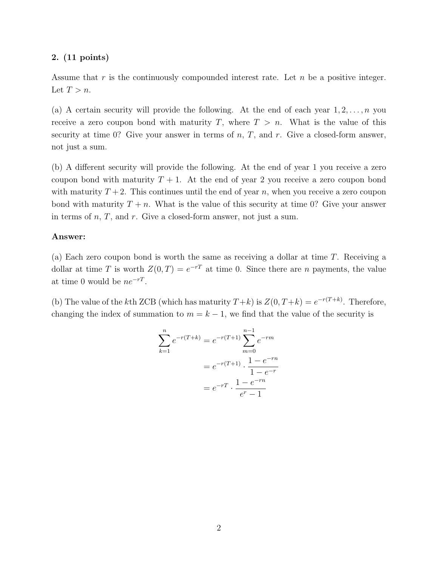Assume that r is the continuously compounded interest rate. Let n be a positive integer. Let  $T > n$ .

(a) A certain security will provide the following. At the end of each year  $1, 2, \ldots, n$  you receive a zero coupon bond with maturity T, where  $T > n$ . What is the value of this security at time 0? Give your answer in terms of  $n, T$ , and  $r$ . Give a closed-form answer, not just a sum.

(b) A different security will provide the following. At the end of year 1 you receive a zero coupon bond with maturity  $T + 1$ . At the end of year 2 you receive a zero coupon bond with maturity  $T+2$ . This continues until the end of year n, when you receive a zero coupon bond with maturity  $T + n$ . What is the value of this security at time 0? Give your answer in terms of  $n, T$ , and  $r$ . Give a closed-form answer, not just a sum.

#### Answer:

(a) Each zero coupon bond is worth the same as receiving a dollar at time T. Receiving a dollar at time T is worth  $Z(0,T) = e^{-rT}$  at time 0. Since there are n payments, the value at time 0 would be  $ne^{-rT}$ .

(b) The value of the kth ZCB (which has maturity  $T+k$ ) is  $Z(0, T+k) = e^{-r(T+k)}$ . Therefore, changing the index of summation to  $m = k - 1$ , we find that the value of the security is

$$
\sum_{k=1}^{n} e^{-r(T+k)} = e^{-r(T+1)} \sum_{m=0}^{n-1} e^{-rm}
$$

$$
= e^{-r(T+1)} \cdot \frac{1 - e^{-rn}}{1 - e^{-r}}
$$

$$
= e^{-rT} \cdot \frac{1 - e^{-rn}}{e^r - 1}
$$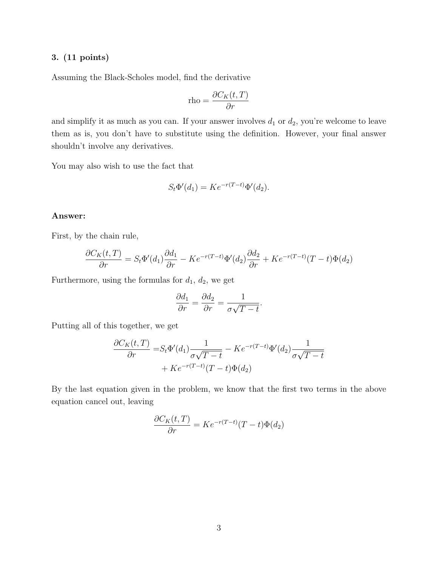Assuming the Black-Scholes model, find the derivative

$$
\text{rho} = \frac{\partial C_K(t, T)}{\partial r}
$$

and simplify it as much as you can. If your answer involves  $d_1$  or  $d_2$ , you're welcome to leave them as is, you don't have to substitute using the definition. However, your final answer shouldn't involve any derivatives.

You may also wish to use the fact that

$$
S_t \Phi'(d_1) = K e^{-r(T-t)} \Phi'(d_2).
$$

#### Answer:

First, by the chain rule,

$$
\frac{\partial C_K(t,T)}{\partial r} = S_t \Phi'(d_1) \frac{\partial d_1}{\partial r} - K e^{-r(T-t)} \Phi'(d_2) \frac{\partial d_2}{\partial r} + K e^{-r(T-t)} (T-t) \Phi(d_2)
$$

Furthermore, using the formulas for  $d_1$ ,  $d_2$ , we get

$$
\frac{\partial d_1}{\partial r} = \frac{\partial d_2}{\partial r} = \frac{1}{\sigma \sqrt{T - t}}.
$$

Putting all of this together, we get

$$
\frac{\partial C_K(t,T)}{\partial r} = S_t \Phi'(d_1) \frac{1}{\sigma \sqrt{T-t}} - Ke^{-r(T-t)} \Phi'(d_2) \frac{1}{\sigma \sqrt{T-t}} + Ke^{-r(T-t)}(T-t) \Phi(d_2)
$$

By the last equation given in the problem, we know that the first two terms in the above equation cancel out, leaving

$$
\frac{\partial C_K(t,T)}{\partial r} = Ke^{-r(T-t)}(T-t)\Phi(d_2)
$$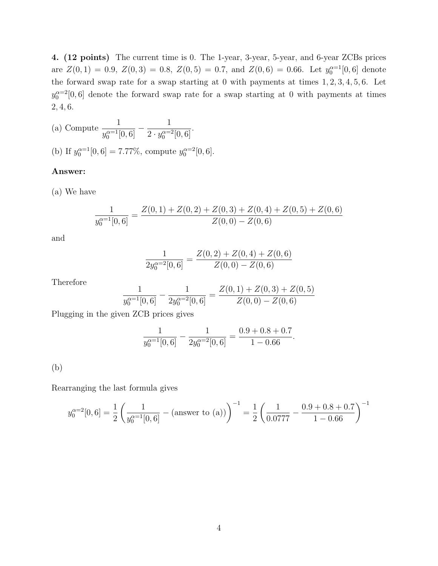4. (12 points) The current time is 0. The 1-year, 3-year, 5-year, and 6-year ZCBs prices are  $Z(0,1) = 0.9, Z(0,3) = 0.8, Z(0,5) = 0.7, \text{ and } Z(0,6) = 0.66.$  Let  $y_0^{\alpha=1}[0,6]$  denote the forward swap rate for a swap starting at 0 with payments at times 1, 2, 3, 4, 5, 6. Let  $y_0^{\alpha=2}[0,6]$  denote the forward swap rate for a swap starting at 0 with payments at times 2, 4, 6.

(a) Compute 
$$
\frac{1}{y_0^{\alpha=1}[0,6]} - \frac{1}{2 \cdot y_0^{\alpha=2}[0,6]}.
$$
  
(b) If  $y_0^{\alpha=1}[0,6] = 7.77\%$ , compute  $y_0^{\alpha=2}[0,6].$ 

#### Answer:

(a) We have

$$
\frac{1}{y_0^{\alpha=1}[0,6]} = \frac{Z(0,1) + Z(0,2) + Z(0,3) + Z(0,4) + Z(0,5) + Z(0,6)}{Z(0,0) - Z(0,6)}
$$

and

$$
\frac{1}{2y_0^{\alpha=2}[0,6]} = \frac{Z(0,2) + Z(0,4) + Z(0,6)}{Z(0,0) - Z(0,6)}
$$

Therefore

$$
\frac{1}{y_0^{\alpha=1}[0,6]} - \frac{1}{2y_0^{\alpha=2}[0,6]} = \frac{Z(0,1) + Z(0,3) + Z(0,5)}{Z(0,0) - Z(0,6)}
$$

Plugging in the given ZCB prices gives

$$
\frac{1}{y_0^{\alpha=1}[0,6]} - \frac{1}{2y_0^{\alpha=2}[0,6]} = \frac{0.9 + 0.8 + 0.7}{1 - 0.66}
$$

.

#### (b)

Rearranging the last formula gives

$$
y_0^{\alpha=2}[0,6] = \frac{1}{2} \left( \frac{1}{y_0^{\alpha=1}[0,6]} - (\text{answer to (a)}) \right)^{-1} = \frac{1}{2} \left( \frac{1}{0.0777} - \frac{0.9 + 0.8 + 0.7}{1 - 0.66} \right)^{-1}
$$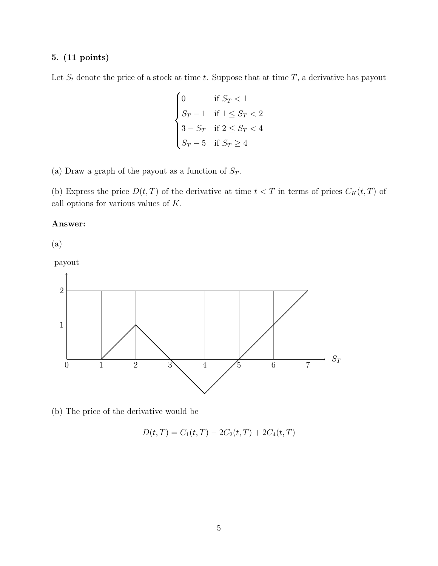Let  $S_t$  denote the price of a stock at time t. Suppose that at time T, a derivative has payout

$$
\begin{cases}\n0 & \text{if } S_T < 1 \\
S_T - 1 & \text{if } 1 \le S_T < 2 \\
3 - S_T & \text{if } 2 \le S_T < 4 \\
S_T - 5 & \text{if } S_T \ge 4\n\end{cases}
$$

(a) Draw a graph of the payout as a function of  $\mathcal{S}_T.$ 

(b) Express the price  $D(t, T)$  of the derivative at time  $t < T$  in terms of prices  $C_K(t, T)$  of call options for various values of K.

#### Answer:

(a)

payout



(b) The price of the derivative would be

$$
D(t,T) = C_1(t,T) - 2C_2(t,T) + 2C_4(t,T)
$$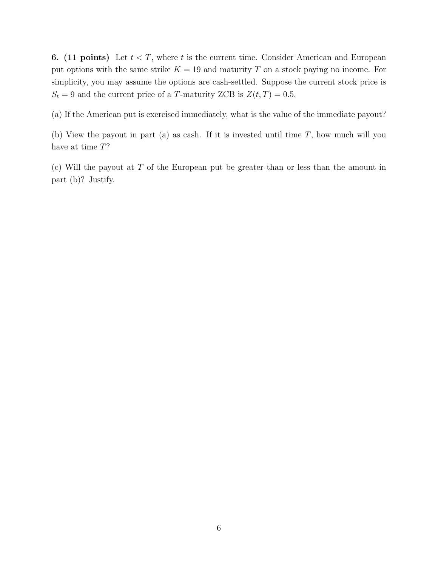**6.** (11 points) Let  $t < T$ , where t is the current time. Consider American and European put options with the same strike  $K = 19$  and maturity T on a stock paying no income. For simplicity, you may assume the options are cash-settled. Suppose the current stock price is  $S_t = 9$  and the current price of a T-maturity ZCB is  $Z(t, T) = 0.5$ .

(a) If the American put is exercised immediately, what is the value of the immediate payout?

(b) View the payout in part (a) as cash. If it is invested until time  $T$ , how much will you have at time  $T$ ?

(c) Will the payout at  $T$  of the European put be greater than or less than the amount in part (b)? Justify.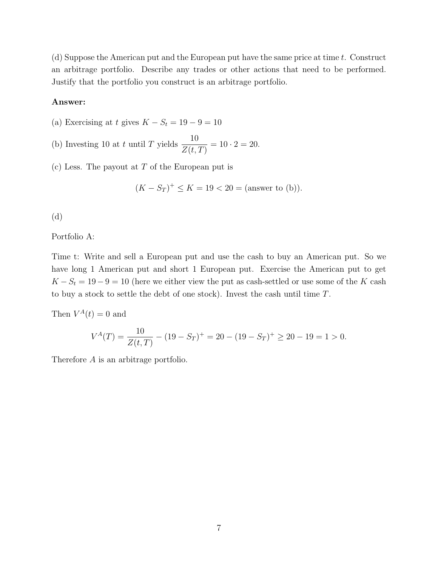(d) Suppose the American put and the European put have the same price at time  $t$ . Construct an arbitrage portfolio. Describe any trades or other actions that need to be performed. Justify that the portfolio you construct is an arbitrage portfolio.

#### Answer:

(a) Exercising at t gives  $K - S_t = 19 - 9 = 10$ 

(b) Investing 10 at t until T yields  $\frac{10}{\sqrt{10}}$  $Z(t,T)$  $= 10 \cdot 2 = 20.$ 

 $(c)$  Less. The payout at T of the European put is

$$
(K - S_T)^+ \le K = 19 < 20 = \text{(answer to (b))}.
$$

(d)

Portfolio A:

Time t: Write and sell a European put and use the cash to buy an American put. So we have long 1 American put and short 1 European put. Exercise the American put to get  $K - S_t = 19 - 9 = 10$  (here we either view the put as cash-settled or use some of the K cash to buy a stock to settle the debt of one stock). Invest the cash until time T.

Then  $V^A(t) = 0$  and

$$
V^{A}(T) = \frac{10}{Z(t,T)} - (19 - S_T)^{+} = 20 - (19 - S_T)^{+} \ge 20 - 19 = 1 > 0.
$$

Therefore A is an arbitrage portfolio.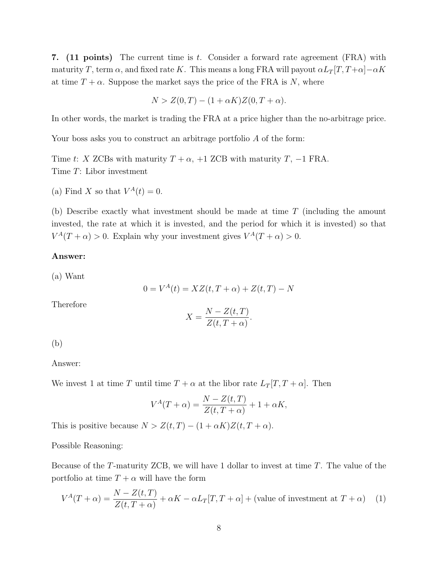7. (11 points) The current time is t. Consider a forward rate agreement (FRA) with maturity T, term  $\alpha$ , and fixed rate K. This means a long FRA will payout  $\alpha L_T[T, T+\alpha] - \alpha K$ at time  $T + \alpha$ . Suppose the market says the price of the FRA is N, where

$$
N > Z(0,T) - (1 + \alpha K)Z(0,T + \alpha).
$$

In other words, the market is trading the FRA at a price higher than the no-arbitrage price.

Your boss asks you to construct an arbitrage portfolio A of the form:

Time t: X ZCBs with maturity  $T + \alpha$ , +1 ZCB with maturity T, -1 FRA. Time T: Libor investment

(a) Find X so that  $V^A(t) = 0$ .

(b) Describe exactly what investment should be made at time T (including the amount invested, the rate at which it is invested, and the period for which it is invested) so that  $V^A(T+\alpha) > 0$ . Explain why your investment gives  $V^A(T+\alpha) > 0$ .

#### Answer:

(a) Want

$$
0 = V^{A}(t) = XZ(t, T + \alpha) + Z(t, T) - N
$$

Therefore

$$
X = \frac{N - Z(t, T)}{Z(t, T + \alpha)}.
$$

(b)

Answer:

We invest 1 at time T until time  $T + \alpha$  at the libor rate  $L_T[T, T + \alpha]$ . Then

$$
V^{A}(T+\alpha) = \frac{N - Z(t,T)}{Z(t,T+\alpha)} + 1 + \alpha K,
$$

This is positive because  $N > Z(t,T) - (1 + \alpha K)Z(t,T+\alpha)$ .

Possible Reasoning:

Because of the T-maturity ZCB, we will have 1 dollar to invest at time T. The value of the portfolio at time  $T + \alpha$  will have the form

$$
V^{A}(T+\alpha) = \frac{N - Z(t, T)}{Z(t, T+\alpha)} + \alpha K - \alpha L_{T}[T, T+\alpha] + \text{(value of investment at } T+\alpha) \tag{1}
$$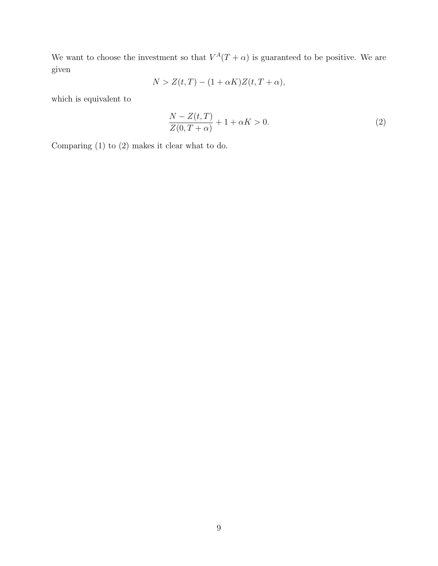We want to choose the investment so that  $V^A(T+\alpha)$  is guaranteed to be positive. We are given

$$
N > Z(t,T) - (1 + \alpha K)Z(t, T + \alpha),
$$

which is equivalent to

$$
\frac{N - Z(t, T)}{Z(0, T + \alpha)} + 1 + \alpha K > 0.
$$
\n<sup>(2)</sup>

Comparing (1) to (2) makes it clear what to do.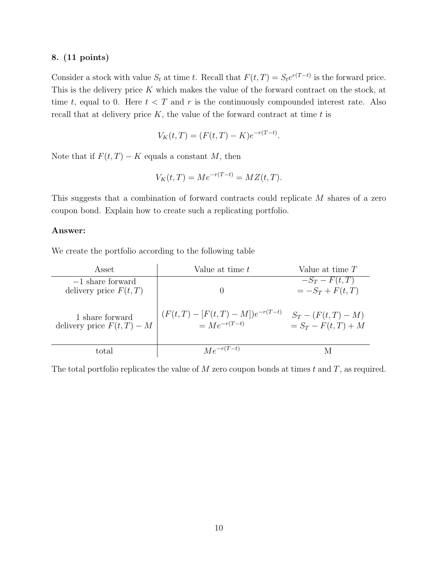Consider a stock with value  $S_t$  at time t. Recall that  $F(t,T) = S_t e^{r(T-t)}$  is the forward price. This is the delivery price K which makes the value of the forward contract on the stock, at time t, equal to 0. Here  $t < T$  and r is the continuously compounded interest rate. Also recall that at delivery price  $K$ , the value of the forward contract at time  $t$  is

$$
V_K(t,T) = (F(t,T) - K)e^{-r(T-t)}.
$$

Note that if  $F(t, T) - K$  equals a constant M, then

$$
V_K(t,T) = Me^{-r(T-t)} = MZ(t,T).
$$

This suggests that a combination of forward contracts could replicate M shares of a zero coupon bond. Explain how to create such a replicating portfolio.

#### Answer:

We create the portfolio according to the following table

| Asset                                          | Value at time $t$                                       | Value at time $T$                            |
|------------------------------------------------|---------------------------------------------------------|----------------------------------------------|
| $-1$ share forward<br>delivery price $F(t,T)$  |                                                         | $-S_T-F(t,T)$<br>$= -S_T + F(t,T)$           |
| 1 share forward<br>delivery price $F(t,T) - M$ | $(F(t,T) - [F(t,T) - M])e^{-r(T-t)}$<br>$=Me^{-r(T-t)}$ | $S_T - (F(t,T) - M)$<br>$= S_T - F(t,T) + M$ |
| total                                          | $Me^{-r(T-t)}$                                          |                                              |

The total portfolio replicates the value of  $M$  zero coupon bonds at times  $t$  and  $T$ , as required.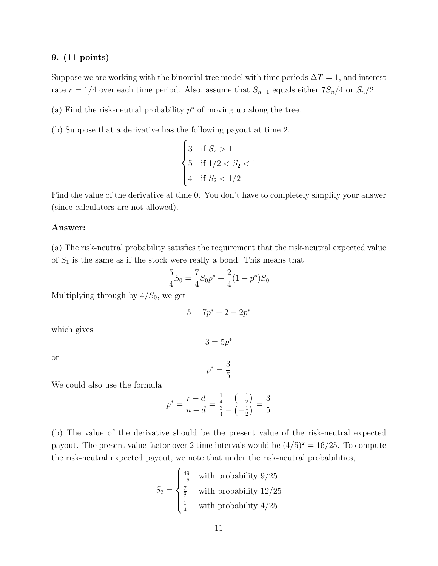Suppose we are working with the binomial tree model with time periods  $\Delta T = 1$ , and interest rate  $r = 1/4$  over each time period. Also, assume that  $S_{n+1}$  equals either  $7S_n/4$  or  $S_n/2$ .

- (a) Find the risk-neutral probability  $p^*$  of moving up along the tree.
- (b) Suppose that a derivative has the following payout at time 2.

$$
\begin{cases} 3 & \text{if } S_2 > 1 \\ 5 & \text{if } 1/2 < S_2 < 1 \\ 4 & \text{if } S_2 < 1/2 \end{cases}
$$

Find the value of the derivative at time 0. You don't have to completely simplify your answer (since calculators are not allowed).

#### Answer:

(a) The risk-neutral probability satisfies the requirement that the risk-neutral expected value of  $S_1$  is the same as if the stock were really a bond. This means that

$$
\frac{5}{4}S_0 = \frac{7}{4}S_0 p^* + \frac{2}{4}(1 - p^*)S_0
$$

Multiplying through by  $4/S_0$ , we get

$$
5 = 7p^* + 2 - 2p^*
$$

 $3 = 5p^*$ 

which gives

or

$$
p^* = \frac{3}{5}
$$

We could also use the formula

$$
p^* = \frac{r - d}{u - d} = \frac{\frac{1}{4} - \left(-\frac{1}{2}\right)}{\frac{3}{4} - \left(-\frac{1}{2}\right)} = \frac{3}{5}
$$

(b) The value of the derivative should be the present value of the risk-neutral expected payout. The present value factor over 2 time intervals would be  $(4/5)^2 = 16/25$ . To compute the risk-neutral expected payout, we note that under the risk-neutral probabilities,

$$
S_2 = \begin{cases} \frac{49}{16} & \text{with probability } 9/25\\ \frac{7}{8} & \text{with probability } 12/25\\ \frac{1}{4} & \text{with probability } 4/25 \end{cases}
$$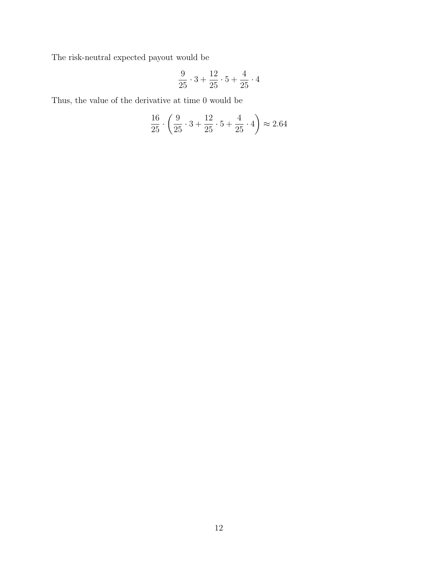The risk-neutral expected payout would be

$$
\frac{9}{25} \cdot 3 + \frac{12}{25} \cdot 5 + \frac{4}{25} \cdot 4
$$

Thus, the value of the derivative at time 0 would be

$$
\frac{16}{25} \cdot \left(\frac{9}{25} \cdot 3 + \frac{12}{25} \cdot 5 + \frac{4}{25} \cdot 4\right) \approx 2.64
$$